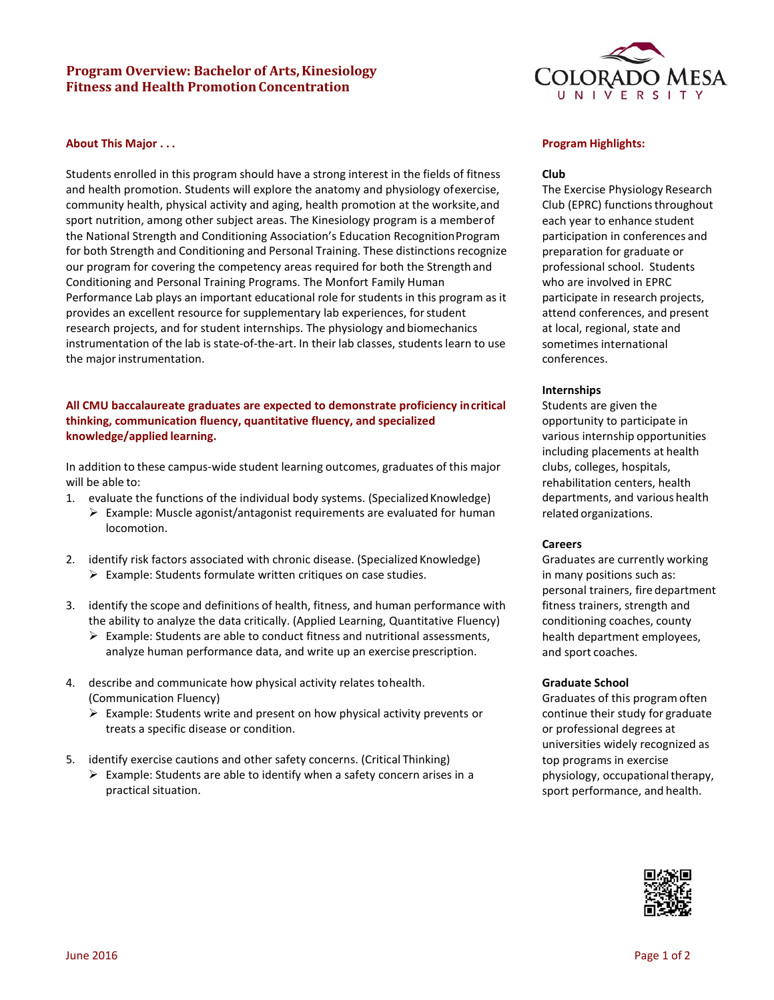# **Program Overview: Bachelor of Arts, Kinesiology Fitness and Health PromotionConcentration**

# **About This Major . . .**

Students enrolled in this program should have a strong interest in the fields of fitness and health promotion. Students will explore the anatomy and physiology ofexercise, community health, physical activity and aging, health promotion at the worksite,and sport nutrition, among other subject areas. The Kinesiology program is a memberof the National Strength and Conditioning Association's Education RecognitionProgram for both Strength and Conditioning and Personal Training. These distinctionsrecognize our program for covering the competency areas required for both the Strength and Conditioning and Personal Training Programs. The Monfort Family Human Performance Lab plays an important educational role for students in this program as it provides an excellent resource for supplementary lab experiences, forstudent research projects, and for student internships. The physiology and biomechanics instrumentation of the lab is state-of-the-art. In their lab classes, students learn to use the major instrumentation.

# **All CMU baccalaureate graduates are expected to demonstrate proficiency incritical thinking, communication fluency, quantitative fluency, and specialized knowledge/applied learning.**

In addition to these campus-wide student learning outcomes, graduates of this major will be able to:

- 1. evaluate the functions of the individual body systems. (Specialized Knowledge)
	- $\triangleright$  Example: Muscle agonist/antagonist requirements are evaluated for human locomotion.
- 2. identify risk factors associated with chronic disease. (Specialized Knowledge)  $\triangleright$  Example: Students formulate written critiques on case studies.
- 3. identify the scope and definitions of health, fitness, and human performance with the ability to analyze the data critically. (Applied Learning, Quantitative Fluency)
	- $\triangleright$  Example: Students are able to conduct fitness and nutritional assessments, analyze human performance data, and write up an exercise prescription.
- 4. describe and communicate how physical activity relates tohealth. (Communication Fluency)
	- $\triangleright$  Example: Students write and present on how physical activity prevents or treats a specific disease or condition.
- 5. identify exercise cautions and other safety concerns. (Critical Thinking)
	- $\triangleright$  Example: Students are able to identify when a safety concern arises in a practical situation.



### **Program Highlights:**

### **Club**

The Exercise Physiology Research Club (EPRC) functionsthroughout each year to enhance student participation in conferences and preparation for graduate or professional school. Students who are involved in EPRC participate in research projects, attend conferences, and present at local, regional, state and sometimes international conferences.

### **Internships**

Students are given the opportunity to participate in various internship opportunities including placements at health clubs, colleges, hospitals, rehabilitation centers, health departments, and various health related organizations.

#### **Careers**

Graduates are currently working in many positions such as: personal trainers, fire department fitness trainers, strength and conditioning coaches, county health department employees, and sport coaches.

#### **Graduate School**

Graduates of this program often continue their study for graduate or professional degrees at universities widely recognized as top programs in exercise physiology, occupational therapy, sport performance, and health.